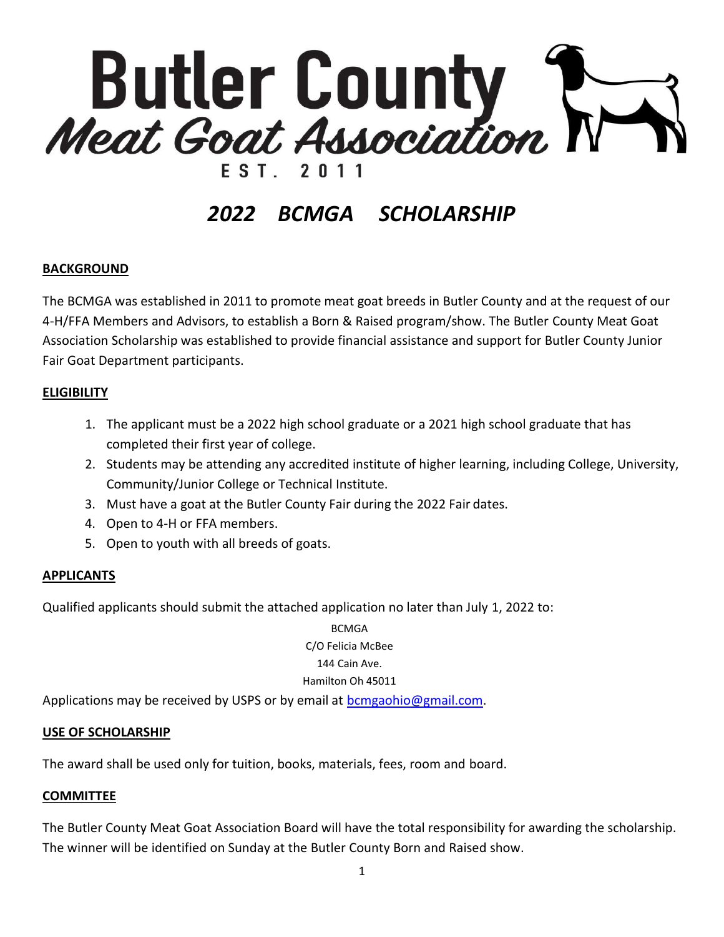

# *2022 BCMGA SCHOLARSHIP*

#### **BACKGROUND**

The BCMGA was established in 2011 to promote meat goat breeds in Butler County and at the request of our 4-H/FFA Members and Advisors, to establish a Born & Raised program/show. The Butler County Meat Goat Association Scholarship was established to provide financial assistance and support for Butler County Junior Fair Goat Department participants.

#### **ELIGIBILITY**

- 1. The applicant must be a 2022 high school graduate or a 2021 high school graduate that has completed their first year of college.
- 2. Students may be attending any accredited institute of higher learning, including College, University, Community/Junior College or Technical Institute.
- 3. Must have a goat at the Butler County Fair during the 2022 Fair dates.
- 4. Open to 4-H or FFA members.
- 5. Open to youth with all breeds of goats.

#### **APPLICANTS**

Qualified applicants should submit the attached application no later than July 1, 2022 to:

**BCMGA** C/O Felicia McBee 144 Cain Ave. Hamilton Oh 45011

Applications may be received by USPS or by email at [bcmgaohio@gmail.com.](mailto:bcmgaohio@gmail.com)

#### **USE OF SCHOLARSHIP**

The award shall be used only for tuition, books, materials, fees, room and board.

#### **COMMITTEE**

The Butler County Meat Goat Association Board will have the total responsibility for awarding the scholarship. The winner will be identified on Sunday at the Butler County Born and Raised show.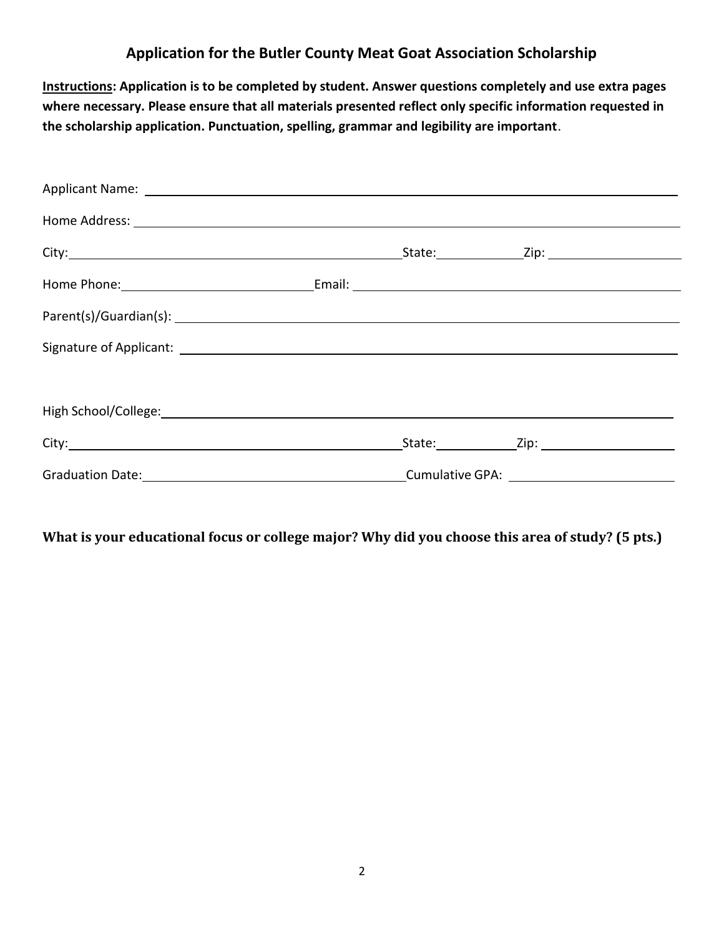## **Application for the Butler County Meat Goat Association Scholarship**

**Instructions: Application is to be completed by student. Answer questions completely and use extra pages where necessary. Please ensure that all materials presented reflect only specific information requested in the scholarship application. Punctuation, spelling, grammar and legibility are important**.

| Applicant Name: 1999 Management Applicant Name: 1999 Management Applicant Name: 1999                 |  |  |
|------------------------------------------------------------------------------------------------------|--|--|
|                                                                                                      |  |  |
|                                                                                                      |  |  |
|                                                                                                      |  |  |
|                                                                                                      |  |  |
|                                                                                                      |  |  |
|                                                                                                      |  |  |
|                                                                                                      |  |  |
|                                                                                                      |  |  |
| Graduation Date: 1990 Cumulative GPA: 2000 Cumulative GPA: 2000 Cumulative GPA: 2000 Cumulative GPA: |  |  |

**What is your educational focus or college major? Why did you choose this area of study? (5 pts.)**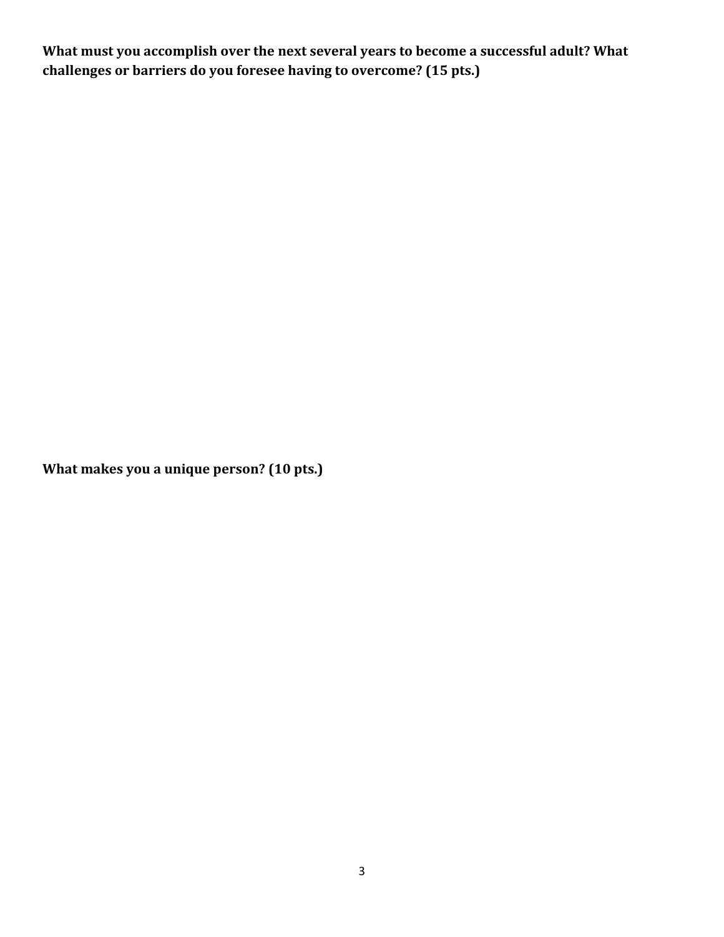**What must you accomplish over the next several years to become a successful adult? What challenges or barriers do you foresee having to overcome? (15 pts.)**

**What makes you a unique person? (10 pts.)**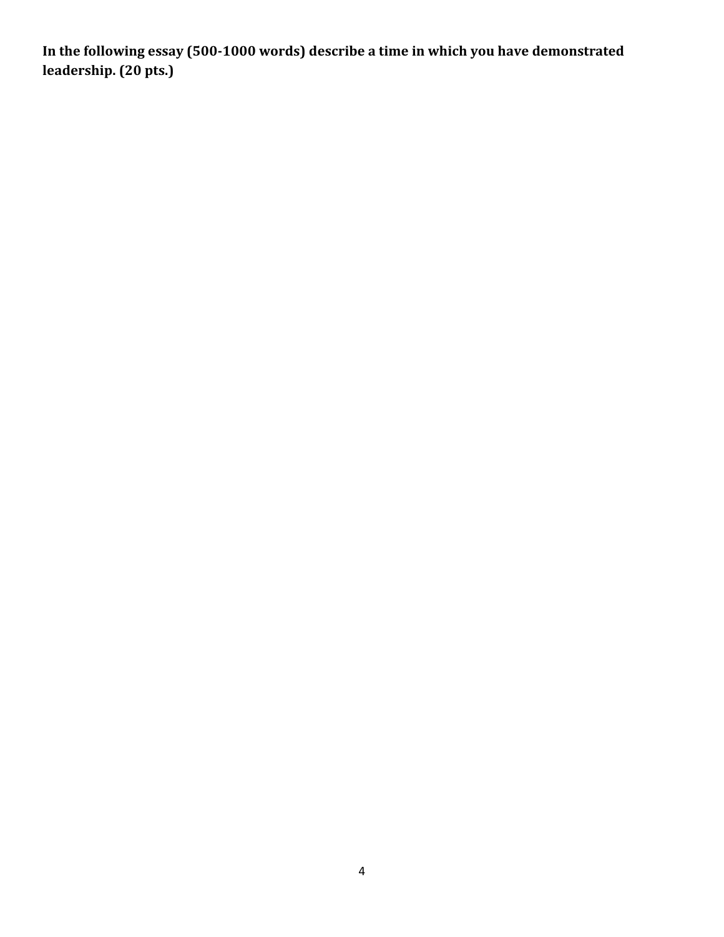**In the following essay (500-1000 words) describe a time in which you have demonstrated leadership. (20 pts.)**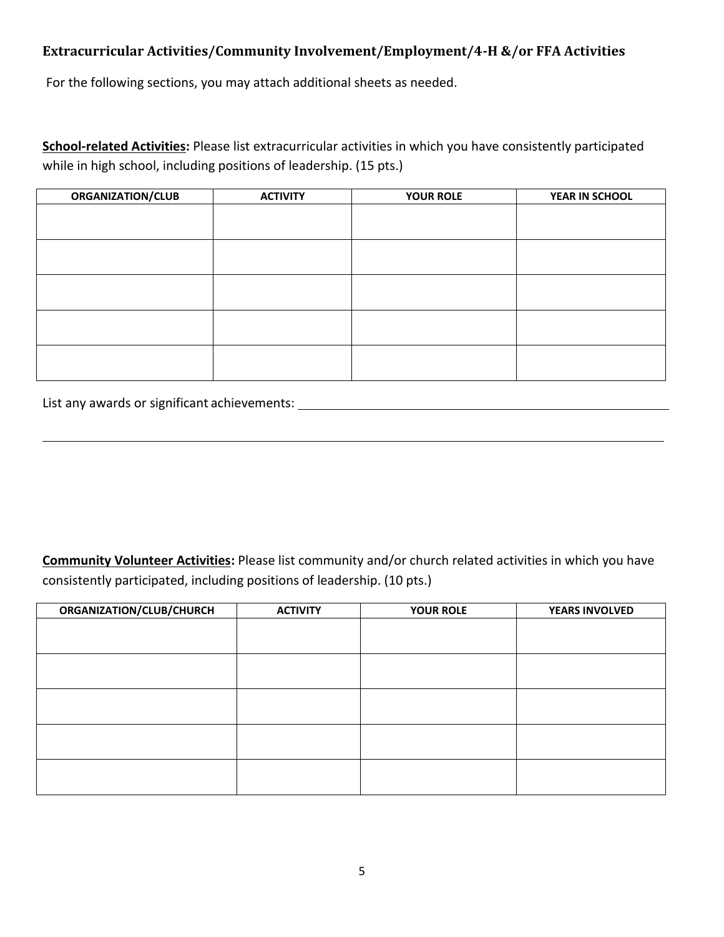## **Extracurricular Activities/Community Involvement/Employment/4-H &/or FFA Activities**

For the following sections, you may attach additional sheets as needed.

**School-related Activities:** Please list extracurricular activities in which you have consistently participated while in high school, including positions of leadership. (15 pts.)

| <b>ORGANIZATION/CLUB</b> | <b>ACTIVITY</b> | <b>YOUR ROLE</b> | YEAR IN SCHOOL |
|--------------------------|-----------------|------------------|----------------|
|                          |                 |                  |                |
|                          |                 |                  |                |
|                          |                 |                  |                |
|                          |                 |                  |                |
|                          |                 |                  |                |
|                          |                 |                  |                |
|                          |                 |                  |                |
|                          |                 |                  |                |
|                          |                 |                  |                |
|                          |                 |                  |                |

List any awards or significant achievements:

**Community Volunteer Activities:** Please list community and/or church related activities in which you have consistently participated, including positions of leadership. (10 pts.)

| ORGANIZATION/CLUB/CHURCH | <b>ACTIVITY</b> | <b>YOUR ROLE</b> | <b>YEARS INVOLVED</b> |
|--------------------------|-----------------|------------------|-----------------------|
|                          |                 |                  |                       |
|                          |                 |                  |                       |
|                          |                 |                  |                       |
|                          |                 |                  |                       |
|                          |                 |                  |                       |
|                          |                 |                  |                       |
|                          |                 |                  |                       |
|                          |                 |                  |                       |
|                          |                 |                  |                       |
|                          |                 |                  |                       |